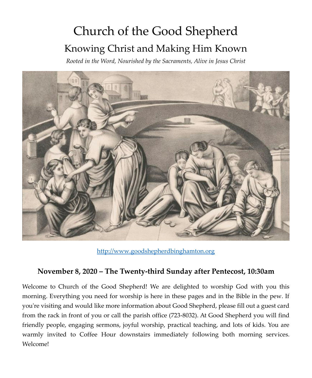# Church of the Good Shepherd Knowing Christ and Making Him Known

*Rooted in the Word, Nourished by the Sacraments, Alive in Jesus Christ*



[http://www.goodshepherdbinghamton.org](http://www.goodshepherdbinghamton.org/)

#### **November 8, 2020 – The Twenty-third Sunday after Pentecost, 10:30am**

Welcome to Church of the Good Shepherd! We are delighted to worship God with you this morning. Everything you need for worship is here in these pages and in the Bible in the pew. If you're visiting and would like more information about Good Shepherd, please fill out a guest card from the rack in front of you or call the parish office (723-8032). At Good Shepherd you will find friendly people, engaging sermons, joyful worship, practical teaching, and lots of kids. You are warmly invited to Coffee Hour downstairs immediately following both morning services. Welcome!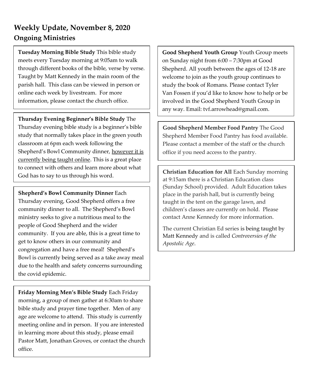### **Weekly Update, November 8, 2020 Ongoing Ministries**

**Tuesday Morning Bible Study** This bible study meets every Tuesday morning at 9:05am to walk through different books of the bible, verse by verse. Taught by Matt Kennedy in the main room of the parish hall. This class can be viewed in person or online each week by livestream. For more information, please contact the church office.

**Thursday Evening Beginner's Bible Study** The Thursday evening bible study is a beginner's bible study that normally takes place in the green youth classroom at 6pm each week following the Shepherd's Bowl Community dinner, however it is currently being taught online. This is a great place to connect with others and learn more about what God has to say to us through his word.

**Shepherd's Bowl Community Dinner** Each Thursday evening, Good Shepherd offers a free community dinner to all. The Shepherd's Bowl ministry seeks to give a nutritious meal to the people of Good Shepherd and the wider community. If you are able, this is a great time to get to know others in our community and congregation and have a free meal! Shepherd's Bowl is currently being served as a take away meal due to the health and safety concerns surrounding the covid epidemic.

**Friday Morning Men's Bible Study** Each Friday morning, a group of men gather at 6:30am to share bible study and prayer time together. Men of any age are welcome to attend. This study is currently meeting online and in person. If you are interested in learning more about this study, please email Pastor Matt, Jonathan Groves, or contact the church office.

**Good Shepherd Youth Group** Youth Group meets on Sunday night from 6:00 – 7:30pm at Good Shepherd. All youth between the ages of 12-18 are welcome to join as the youth group continues to study the book of Romans. Please contact Tyler Van Fossen if you'd like to know how to help or be involved in the Good Shepherd Youth Group in any way. Email: tvf.arrowhead@gmail.com.

**Good Shepherd Member Food Pantry** The Good Shepherd Member Food Pantry has food available. Please contact a member of the staff or the church office if you need access to the pantry.

**Christian Education for All** Each Sunday morning at 9:15am there is a Christian Education class (Sunday School) provided. Adult Education takes place in the parish hall, but is currently being taught in the tent on the garage lawn, and children's classes are currently on hold. Please contact Anne Kennedy for more information.

The current Christian Ed series is being taught by Matt Kennedy and is called *Controversies of the Apostolic Age*.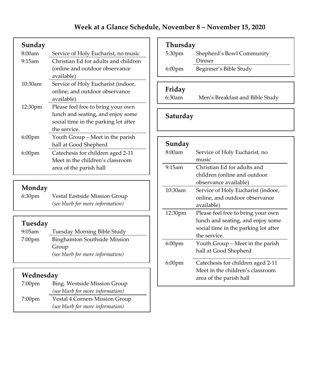| Sunday    |                                      |
|-----------|--------------------------------------|
| 8:00am    | Service of Holy Eucharist, no music  |
| 9:15am    | Christian Ed for adults and children |
|           | (online and outdoor observance)      |
|           | available)                           |
| 10:30am   | Service of Holy Eucharist (indoor,   |
|           | online, and outdoor observance       |
|           | available)                           |
| 12:30pm   | Please feel free to bring your own   |
|           | lunch and seating, and enjoy some    |
|           | social time in the parking lot after |
|           | the service.                         |
| $6:00$ pm | Youth Group - Meet in the parish     |
|           | hall at Good Shepherd                |
| 6:00pm    | Catechesis for children aged 2-11    |
|           | Meet in the children's classroom     |
|           | area of the parish hall              |

# **Monday**<br>6:30pm

Vestal Eastside Mission Group *(see blurb for more information)*

### **Tuesday**

| $9:05$ am        | Tuesday Morning Bible Study         |
|------------------|-------------------------------------|
| $7:00 \text{pm}$ | <b>Binghamton Southside Mission</b> |
|                  | Group                               |
|                  | (see blurb for more information)    |

#### **Wednesday**

| 7:00 <sub>pm</sub> | Bing. Westside Mission Group<br>(see blurb for more information)          |
|--------------------|---------------------------------------------------------------------------|
| $7:00 \text{pm}$   | <b>Vestal 4 Corners Mission Group</b><br>(see blurb for more information) |

### **Thursday**

| 5:30 <sub>pm</sub> | Shepherd's Bowl Community |
|--------------------|---------------------------|
|                    | Dinner                    |
| $6:00 \text{pm}$   | Beginner's Bible Study    |

#### **Friday**

6:30am Men's Breakfast and Bible Study

#### **Saturday**

| Sunday              |                                      |
|---------------------|--------------------------------------|
| 8:00am              | Service of Holy Eucharist, no        |
|                     | music                                |
| 9:15am              | Christian Ed for adults and          |
|                     | children (online and outdoor         |
|                     | observance available)                |
| 10:30am             | Service of Holy Eucharist (indoor,   |
|                     | online, and outdoor observance       |
|                     | available)                           |
| 12:30 <sub>pm</sub> | Please feel free to bring your own   |
|                     | lunch and seating, and enjoy some    |
|                     | social time in the parking lot after |
|                     | the service.                         |
| $6:00 \text{pm}$    | Youth Group – Meet in the parish     |
|                     | hall at Good Shepherd                |
| $6:00$ pm           | Catechesis for children aged 2-11    |
|                     | Meet in the children's classroom     |
|                     | area of the parish hall              |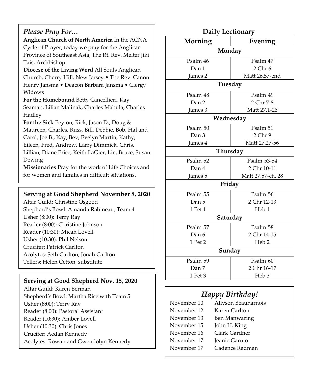#### *Please Pray For…*

**Anglican Church of North America** In the ACNA Cycle of Prayer, today we pray for the Anglican Province of Southeast Asia, The Rt. Rev. Melter Jiki Tais, Archbishop.

**Diocese of the Living Word** All Souls Anglican Church, Cherry Hill, New Jersey • The Rev. Canon Henry Jansma • Deacon Barbara Jansma • Clergy Widows

**For the Homebound** Betty Cancellieri, Kay Seaman, Lilian Malinak, Charles Mabula, Charles Hadley

**For the Sick** Peyton, Rick, Jason D., Doug & Maureen, Charles, Russ, Bill, Debbie, Bob, Hal and Carol, Joe B., Kay, Bev, Evelyn Martin, Kathy,

Eileen, Fred, Andrew, Larry Dimmick, Chris, Lillian, Diane Price, Keith LaGier, Lin, Bruce, Susan Dewing

**Missionaries** Pray for the work of Life Choices and for women and families in difficult situations.

#### **Serving at Good Shepherd November 8, 2020**

Altar Guild: Christine Osgood Shepherd's Bowl: Amanda Rabineau, Team 4 Usher (8:00): Terry Ray Reader (8:00): Christine Johnson Reader (10:30): Micah Lovell Usher (10:30): Phil Nelson Crucifer: Patrick Carlton Acolytes: Seth Carlton, Jonah Carlton Tellers: Helen Cetton, substitute

#### **Serving at Good Shepherd Nov. 15, 2020**

Altar Guild: Karen Berman Shepherd's Bowl: Martha Rice with Team 5 Usher (8:00): Terry Ray Reader (8:00): Pastoral Assistant Reader (10:30): Amber Lovell Usher (10:30): Chris Jones Crucifer: Aedan Kennedy Acolytes: Rowan and Gwendolyn Kennedy

| Daily Lectionary |                   |  |
|------------------|-------------------|--|
| Morning          | Evening           |  |
| Monday           |                   |  |
| Psalm 46         | Psalm 47          |  |
| Dan 1            | $2$ Chr $6$       |  |
| James 2          | Matt 26.57-end    |  |
| Tuesday          |                   |  |
| Psalm 48         | Psalm 49          |  |
| Dan 2            | 2 Chr 7-8         |  |
| James 3          | Matt 27.1-26      |  |
| Wednesday        |                   |  |
| Psalm 50         | Psalm 51          |  |
| Dan 3            | $2$ Chr $9$       |  |
| James 4          | Matt 27.27-56     |  |
| Thursday         |                   |  |
| Psalm 52         | Psalm 53-54       |  |
| Dan 4            | 2 Chr 10-11       |  |
| James 5          | Matt 27.57-ch. 28 |  |
| Friday           |                   |  |
| Psalm 55         | Psalm 56          |  |
| Dan 5            | 2 Chr 12-13       |  |
| 1 Pet 1          | Heb 1             |  |
| Saturday         |                   |  |
| Psalm 57         | Psalm 58          |  |
| Dan 6            | 2 Chr 14-15       |  |
| 1 Pet 2          | Heb <sub>2</sub>  |  |
| Sunday           |                   |  |
| Psalm 59         | Psalm 60          |  |
| Dan 7            | 2 Chr 16-17       |  |
| 1 Pet 3          | Heb <sub>3</sub>  |  |

#### *Happy Birthday!*

| November 10 | Allyson Beauharnois  |
|-------------|----------------------|
| November 12 | Karen Carlton        |
| November 13 | <b>Ben Manwaring</b> |
| November 15 | John H. King         |
| November 16 | Clark Gardner        |
| November 17 | Jeanie Garuto        |
| November 17 | Cadence Radman       |
|             |                      |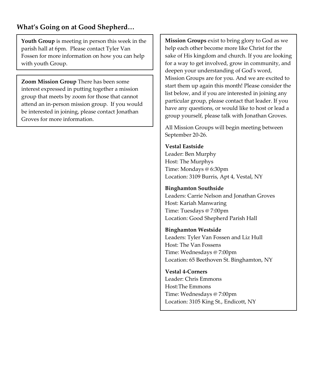#### **What's Going on at Good Shepherd…**

**Youth Group** is meeting in person this week in the parish hall at 6pm. Please contact Tyler Van Fossen for more information on how you can help with youth Group.

**Zoom Mission Group** There has been some interest expressed in putting together a mission group that meets by zoom for those that cannot attend an in-person mission group. If you would be interested in joining, please contact Jonathan Groves for more information.

**Mission Groups** exist to bring glory to God as we help each other become more like Christ for the sake of His kingdom and church. If you are looking for a way to get involved, grow in community, and deepen your understanding of God's word, Mission Groups are for you. And we are excited to start them up again this month! Please consider the list below, and if you are interested in joining any particular group, please contact that leader. If you have any questions, or would like to host or lead a group yourself, please talk with Jonathan Groves.

All Mission Groups will begin meeting between September 20-26.

#### **Vestal Eastside**

Leader: Ben Murphy Host: The Murphys Time: Mondays @ 6:30pm Location: 3109 Burris, Apt 4, Vestal, NY

#### **Binghamton Southside**

Leaders: Carrie Nelson and Jonathan Groves Host: Kariah Manwaring Time: Tuesdays @ 7:00pm Location: Good Shepherd Parish Hall

#### **Binghamton Westside**

Leaders: Tyler Van Fossen and Liz Hull Host: The Van Fossens Time: Wednesdays @ 7:00pm Location: 65 Beethoven St. Binghamton, NY

**Vestal 4-Corners** Leader: Chris Emmons Host:The Emmons Time: Wednesdays @ 7:00pm Location: 3105 King St., Endicott, NY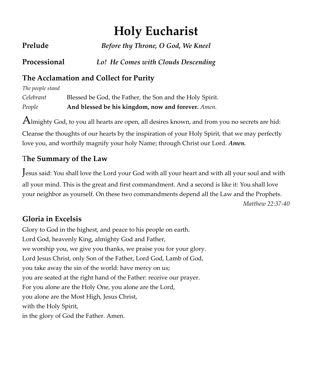# **Holy Eucharist**

| Prelude      | Before thy Throne, O God, We Kneel  |
|--------------|-------------------------------------|
| Processional | Lo! He Comes with Clouds Descending |

### **The Acclamation and Collect for Purity**

*The people stand* *Celebrant* Blessed be God, the Father, the Son and the Holy Spirit. *People* **And blessed be his kingdom, now and forever.** *Amen.*

 $A$ lmighty God, to you all hearts are open, all desires known, and from you no secrets are hid: Cleanse the thoughts of our hearts by the inspiration of your Holy Spirit, that we may perfectly

love you, and worthily magnify your holy Name; through Christ our Lord. *Amen.*

### T**he Summary of the Law**

Jesus said: You shall love the Lord your God with all your heart and with all your soul and with all your mind. This is the great and first commandment. And a second is like it: You shall love your neighbor as yourself. On these two commandments depend all the Law and the Prophets. *Matthew 22:37-40*

### **Gloria in Excelsis**

Glory to God in the highest, and peace to his people on earth. Lord God, heavenly King, almighty God and Father, we worship you, we give you thanks, we praise you for your glory. Lord Jesus Christ, only Son of the Father, Lord God, Lamb of God, you take away the sin of the world: have mercy on us; you are seated at the right hand of the Father: receive our prayer. For you alone are the Holy One, you alone are the Lord, you alone are the Most High, Jesus Christ, with the Holy Spirit, in the glory of God the Father. Amen.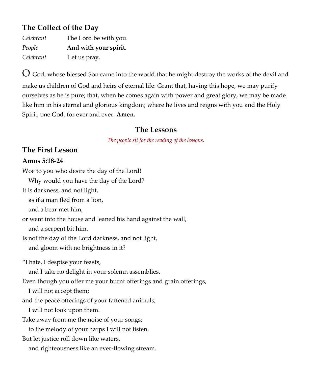### **The Collect of the Day**

| Celebrant | The Lord be with you. |
|-----------|-----------------------|
| People    | And with your spirit. |
| Celebrant | Let us pray.          |

 $O$  God, whose blessed Son came into the world that he might destroy the works of the devil and make us children of God and heirs of eternal life: Grant that, having this hope, we may purify ourselves as he is pure; that, when he comes again with power and great glory, we may be made like him in his eternal and glorious kingdom; where he lives and reigns with you and the Holy Spirit, one God, for ever and ever. **Amen.**

#### **The Lessons**

*The people sit for the reading of the lessons.*

### **The First Lesson**

#### **Amos 5:18-24**

Woe to you who desire the day of the Lord! Why would you have the day of the Lord? It is darkness, and not light, as if a man fled from a lion, and a bear met him, or went into the house and leaned his hand against the wall, and a serpent bit him. Is not the day of the Lord darkness, and not light, and gloom with no brightness in it? "I hate, I despise your feasts, and I take no delight in your solemn assemblies. Even though you offer me your burnt offerings and grain offerings, I will not accept them; and the peace offerings of your fattened animals, I will not look upon them. Take away from me the noise of your songs; to the melody of your harps I will not listen. But let justice roll down like waters, and righteousness like an ever-flowing stream.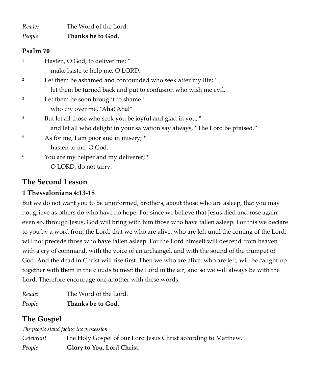*Reader* The Word of the Lord. *People* **Thanks be to God.**

#### **Psalm 70**

| $\mathbf{1}$   | Hasten, O God, to deliver me; *                                              |
|----------------|------------------------------------------------------------------------------|
|                | make haste to help me, O LORD.                                               |
| 2              | Let them be ashamed and confounded who seek after my life; *                 |
|                | let them be turned back and put to confusion who wish me evil.               |
| 3              | Let them be soon brought to shame*                                           |
|                | who cry over me, "Aha! Aha!"                                                 |
| $\overline{4}$ | But let all those who seek you be joyful and glad in you; *                  |
|                | and let all who delight in your salvation say always, "The Lord be praised." |
| 5              | As for me, I am poor and in misery; *                                        |
|                | hasten to me, O God.                                                         |
| 6              | You are my helper and my deliverer; *                                        |
|                | O LORD, do not tarry.                                                        |

### **The Second Lesson**

#### **1 Thessalonians 4:13-18**

But we do not want you to be uninformed, brothers, about those who are asleep, that you may not grieve as others do who have no hope. For since we believe that Jesus died and rose again, even so, through Jesus, God will bring with him those who have fallen asleep. For this we declare to you by a word from the Lord, that we who are alive, who are left until the coming of the Lord, will not precede those who have fallen asleep. For the Lord himself will descend from heaven with a cry of command, with the voice of an archangel, and with the sound of the trumpet of God. And the dead in Christ will rise first. Then we who are alive, who are left, will be caught up together with them in the clouds to meet the Lord in the air, and so we will always be with the Lord. Therefore encourage one another with these words.

*Reader* The Word of the Lord. *People* **Thanks be to God.**

### **The Gospel**

*The people stand facing the procession Celebrant* The Holy Gospel of our Lord Jesus Christ according to Matthew. *People* **Glory to You, Lord Christ.**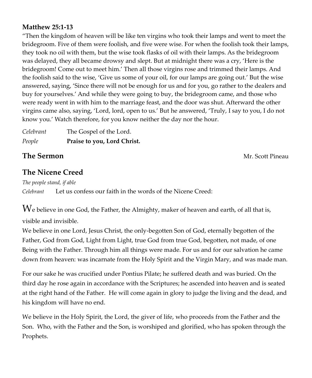#### **Matthew 25:1-13**

"Then the kingdom of heaven will be like ten virgins who took their lamps and went to meet the bridegroom. Five of them were foolish, and five were wise. For when the foolish took their lamps, they took no oil with them, but the wise took flasks of oil with their lamps. As the bridegroom was delayed, they all became drowsy and slept. But at midnight there was a cry, 'Here is the bridegroom! Come out to meet him.' Then all those virgins rose and trimmed their lamps. And the foolish said to the wise, 'Give us some of your oil, for our lamps are going out.' But the wise answered, saying, 'Since there will not be enough for us and for you, go rather to the dealers and buy for yourselves.' And while they were going to buy, the bridegroom came, and those who were ready went in with him to the marriage feast, and the door was shut. Afterward the other virgins came also, saying, 'Lord, lord, open to us.' But he answered, 'Truly, I say to you, I do not know you.' Watch therefore, for you know neither the day nor the hour.

| Celebrant | The Gospel of the Lord.     |
|-----------|-----------------------------|
| People    | Praise to you, Lord Christ. |

**The Sermon Contract Pineau Accounts and Sermon** 

### **The Nicene Creed**

*The people stand, if able Celebrant* Let us confess our faith in the words of the Nicene Creed:

 $W_e$  believe in one God, the Father, the Almighty, maker of heaven and earth, of all that is,

#### visible and invisible.

We believe in one Lord, Jesus Christ, the only-begotten Son of God, eternally begotten of the Father, God from God, Light from Light, true God from true God, begotten, not made, of one Being with the Father. Through him all things were made. For us and for our salvation he came down from heaven: was incarnate from the Holy Spirit and the Virgin Mary, and was made man.

For our sake he was crucified under Pontius Pilate; he suffered death and was buried. On the third day he rose again in accordance with the Scriptures; he ascended into heaven and is seated at the right hand of the Father. He will come again in glory to judge the living and the dead, and his kingdom will have no end.

We believe in the Holy Spirit, the Lord, the giver of life, who proceeds from the Father and the Son. Who, with the Father and the Son, is worshiped and glorified, who has spoken through the Prophets.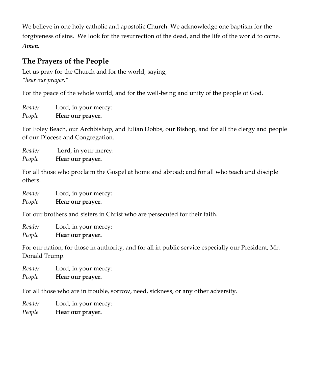We believe in one holy catholic and apostolic Church. We acknowledge one baptism for the forgiveness of sins. We look for the resurrection of the dead, and the life of the world to come. *Amen.*

### **The Prayers of the People**

Let us pray for the Church and for the world, saying, *"hear our prayer."* 

For the peace of the whole world, and for the well-being and unity of the people of God.

*Reader* Lord, in your mercy: *People* **Hear our prayer.** 

For Foley Beach, our Archbishop, and Julian Dobbs, our Bishop, and for all the clergy and people of our Diocese and Congregation.

*Reader* Lord, in your mercy: *People* **Hear our prayer.** 

For all those who proclaim the Gospel at home and abroad; and for all who teach and disciple others.

| Reader | Lord, in your mercy: |
|--------|----------------------|
| People | Hear our prayer.     |

For our brothers and sisters in Christ who are persecuted for their faith.

*Reader* Lord, in your mercy: *People* **Hear our prayer.** 

For our nation, for those in authority, and for all in public service especially our President, Mr. Donald Trump.

*Reader* Lord, in your mercy: *People* **Hear our prayer.**

For all those who are in trouble, sorrow, need, sickness, or any other adversity.

*Reader* Lord, in your mercy:

*People* **Hear our prayer.**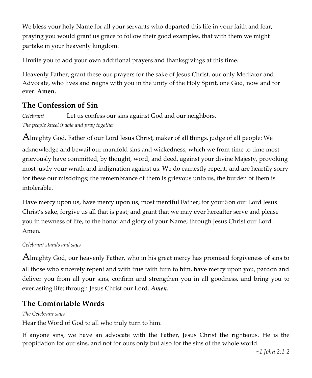We bless your holy Name for all your servants who departed this life in your faith and fear, praying you would grant us grace to follow their good examples, that with them we might partake in your heavenly kingdom.

I invite you to add your own additional prayers and thanksgivings at this time.

Heavenly Father, grant these our prayers for the sake of Jesus Christ, our only Mediator and Advocate, who lives and reigns with you in the unity of the Holy Spirit, one God, now and for ever. **Amen.**

### **The Confession of Sin**

*Celebrant* Let us confess our sins against God and our neighbors. *The people kneel if able and pray together*

Almighty God, Father of our Lord Jesus Christ, maker of all things, judge of all people: We acknowledge and bewail our manifold sins and wickedness, which we from time to time most grievously have committed, by thought, word, and deed, against your divine Majesty, provoking most justly your wrath and indignation against us. We do earnestly repent, and are heartily sorry for these our misdoings; the remembrance of them is grievous unto us, the burden of them is intolerable.

Have mercy upon us, have mercy upon us, most merciful Father; for your Son our Lord Jesus Christ's sake, forgive us all that is past; and grant that we may ever hereafter serve and please you in newness of life, to the honor and glory of your Name; through Jesus Christ our Lord. Amen.

#### *Celebrant stands and says*

Almighty God, our heavenly Father, who in his great mercy has promised forgiveness of sins to all those who sincerely repent and with true faith turn to him, have mercy upon you, pardon and deliver you from all your sins, confirm and strengthen you in all goodness, and bring you to everlasting life; through Jesus Christ our Lord. *Amen.*

### **The Comfortable Words**

#### *The Celebrant says*

Hear the Word of God to all who truly turn to him.

If anyone sins, we have an advocate with the Father, Jesus Christ the righteous. He is the propitiation for our sins, and not for ours only but also for the sins of the whole world.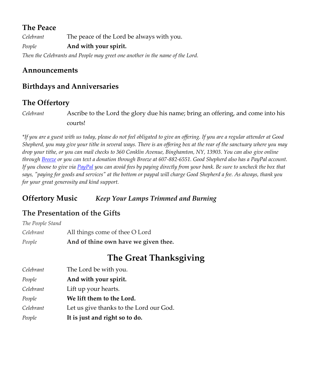### **The Peace**

*Celebrant* The peace of the Lord be always with you. *People* **And with your spirit.**

*Then the Celebrants and People may greet one another in the name of the Lord.*

#### **Announcements**

### **Birthdays and Anniversaries**

### **The Offertory**

*Celebrant* Ascribe to the Lord the glory due his name; bring an offering, and come into his courts!

*\*If you are a guest with us today, please do not feel obligated to give an offering. If you are a regular attender at Good Shepherd, you may give your tithe in several ways. There is an offering box at the rear of the sanctuary where you may drop your tithe, or you can mail checks to 360 Conklin Avenue, Binghamton, NY, 13903. You can also give online throug[h Breeze](https://goodshepherdbinghamton.breezechms.com/give/online) or you can text a donation through Breeze at 607-882-6551. Good Shepherd also has a PayPal account. If you choose to give vi[a PayPal](https://www.paypal.me/GSBinghamton?utm_source=unp&utm_medium=email&utm_campaign=PPC000654&utm_unptid=42acbf38-6ada-11ea-b9a4-b875c0f50354&ppid=PPC000654&cnac=US&rsta=en_US&cust=8MVRVDQC795TS&unptid=42acbf38-6ada-11ea-b9a4-b875c0f50354&calc=69b6c6cb4a105&unp_tpcid=ppme-social-business-profile-created&page=main:email:PPC000654:::&pgrp=main:email&e=cl&mchn=em&s=ci&mail=sys) you can avoid fees by paying directly from your bank. Be sure to uncheck the box that says, "paying for goods and services" at the bottom or paypal will charge Good Shepherd a fee. As always, thank you for your great generosity and kind support.*

#### **Offertory Music** *Keep Your Lamps Trimmed and Burning*

### **The Presentation of the Gifts**

| People           | And of thine own have we given thee. |
|------------------|--------------------------------------|
| Celebrant        | All things come of thee O Lord       |
| The People Stand |                                      |

## **The Great Thanksgiving**

| Celebrant | The Lord be with you.                   |
|-----------|-----------------------------------------|
| People    | And with your spirit.                   |
| Celebrant | Lift up your hearts.                    |
| People    | We lift them to the Lord.               |
| Celebrant | Let us give thanks to the Lord our God. |
| People    | It is just and right so to do.          |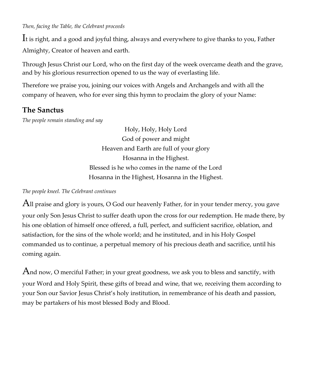*Then, facing the Table, the Celebrant proceeds*

It is right, and a good and joyful thing, always and everywhere to give thanks to you, Father Almighty, Creator of heaven and earth.

Through Jesus Christ our Lord, who on the first day of the week overcame death and the grave, and by his glorious resurrection opened to us the way of everlasting life.

Therefore we praise you, joining our voices with Angels and Archangels and with all the company of heaven, who for ever sing this hymn to proclaim the glory of your Name:

### **The Sanctus**

*The people remain standing and say*

Holy, Holy, Holy Lord God of power and might Heaven and Earth are full of your glory Hosanna in the Highest. Blessed is he who comes in the name of the Lord Hosanna in the Highest, Hosanna in the Highest.

*The people kneel. The Celebrant continues*

All praise and glory is yours, O God our heavenly Father, for in your tender mercy, you gave your only Son Jesus Christ to suffer death upon the cross for our redemption. He made there, by his one oblation of himself once offered, a full, perfect, and sufficient sacrifice, oblation, and satisfaction, for the sins of the whole world; and he instituted, and in his Holy Gospel commanded us to continue, a perpetual memory of his precious death and sacrifice, until his coming again.

And now, O merciful Father; in your great goodness, we ask you to bless and sanctify, with your Word and Holy Spirit, these gifts of bread and wine, that we, receiving them according to your Son our Savior Jesus Christ's holy institution, in remembrance of his death and passion, may be partakers of his most blessed Body and Blood.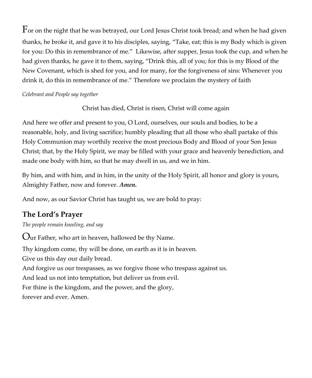$\rm{F}$ or on the night that he was betrayed, our Lord Jesus Christ took bread; and when he had given thanks, he broke it, and gave it to his disciples, saying, "Take, eat; this is my Body which is given for you: Do this in remembrance of me." Likewise, after supper, Jesus took the cup, and when he had given thanks, he gave it to them, saying, "Drink this, all of you; for this is my Blood of the New Covenant, which is shed for you, and for many, for the forgiveness of sins: Whenever you drink it, do this in remembrance of me." Therefore we proclaim the mystery of faith

#### *Celebrant and People say together*

Christ has died, Christ is risen, Christ will come again

And here we offer and present to you, O Lord, ourselves, our souls and bodies, to be a reasonable, holy, and living sacrifice; humbly pleading that all those who shall partake of this Holy Communion may worthily receive the most precious Body and Blood of your Son Jesus Christ; that, by the Holy Spirit, we may be filled with your grace and heavenly benediction, and made one body with him, so that he may dwell in us, and we in him.

By him, and with him, and in him, in the unity of the Holy Spirit, all honor and glory is yours, Almighty Father, now and forever. *Amen.*

And now, as our Savior Christ has taught us, we are bold to pray:

### **The Lord's Prayer**

*The people remain kneeling, and say*

Our Father, who art in heaven, hallowed be thy Name. Thy kingdom come, thy will be done, on earth as it is in heaven. Give us this day our daily bread. And forgive us our trespasses, as we forgive those who trespass against us. And lead us not into temptation, but deliver us from evil. For thine is the kingdom, and the power, and the glory, forever and ever. Amen.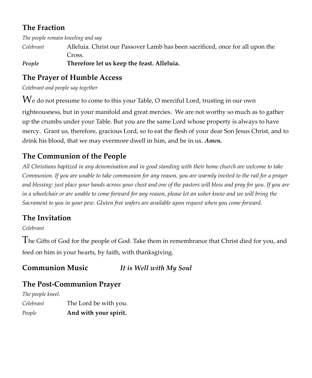### **The Fraction**

*The people remain kneeling and say*

*Celebrant* Alleluia. Christ our Passover Lamb has been sacrificed, once for all upon the Cross.

*People* **Therefore let us keep the feast. Alleluia.**

### **The Prayer of Humble Access**

*Celebrant and people say together*

We do not presume to come to this your Table, O merciful Lord, trusting in our own righteousness, but in your manifold and great mercies. We are not worthy so much as to gather up the crumbs under your Table. But you are the same Lord whose property is always to have mercy. Grant us, therefore, gracious Lord, so to eat the flesh of your dear Son Jesus Christ, and to drink his blood, that we may evermore dwell in him, and he in us. *Amen.*

### **The Communion of the People**

*All Christians baptized in any denomination and in good standing with their home church are welcome to take Communion. If you are unable to take communion for any reason, you are warmly invited to the rail for a prayer and blessing: just place your hands across your chest and one of the pastors will bless and pray for you. If you are in a wheelchair or are unable to come forward for any reason, please let an usher know and we will bring the Sacrament to you in your pew. Gluten free wafers are available upon request when you come forward.*

### **The Invitation**

*Celebrant*

The Gifts of God for the people of God. Take them in remembrance that Christ died for you, and feed on him in your hearts, by faith, with thanksgiving.

### **Communion Music** *It is Well with My Soul*

### **The Post-Communion Prayer**

*The people kneel.* 

*Celebrant* The Lord be with you. *People* **And with your spirit.**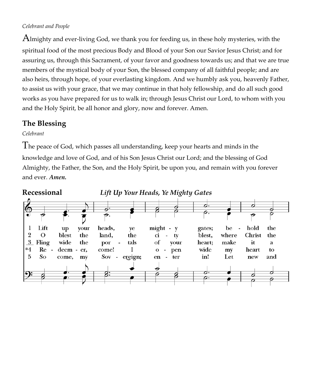#### *Celebrant and People*

Almighty and ever-living God, we thank you for feeding us, in these holy mysteries, with the spiritual food of the most precious Body and Blood of your Son our Savior Jesus Christ; and for assuring us, through this Sacrament, of your favor and goodness towards us; and that we are true members of the mystical body of your Son, the blessed company of all faithful people; and are also heirs, through hope, of your everlasting kingdom. And we humbly ask you, heavenly Father, to assist us with your grace, that we may continue in that holy fellowship, and do all such good works as you have prepared for us to walk in; through Jesus Christ our Lord, to whom with you and the Holy Spirit, be all honor and glory, now and forever. Amen.

#### **The Blessing**

*Celebrant* 

The peace of God, which passes all understanding, keep your hearts and minds in the knowledge and love of God, and of his Son Jesus Christ our Lord; and the blessing of God Almighty, the Father, the Son, and the Holy Spirit, be upon you, and remain with you forever and ever. *Amen.*

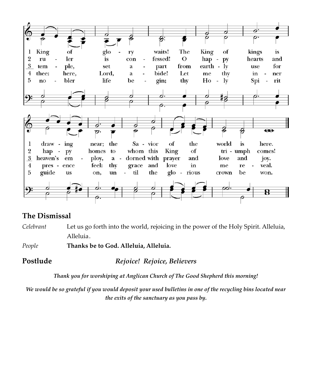

### **The Dismissal**

*Celebrant* Let us go forth into the world, rejoicing in the power of the Holy Spirit. Alleluia, Alleluia.

*People* **Thanks be to God. Alleluia, Alleluia.**

**Postlude** *Rejoice! Rejoice, Believers*

*Thank you for worshiping at Anglican Church of The Good Shepherd this morning!*

*We would be so grateful if you would deposit your used bulletins in one of the recycling bins located near the exits of the sanctuary as you pass by.*